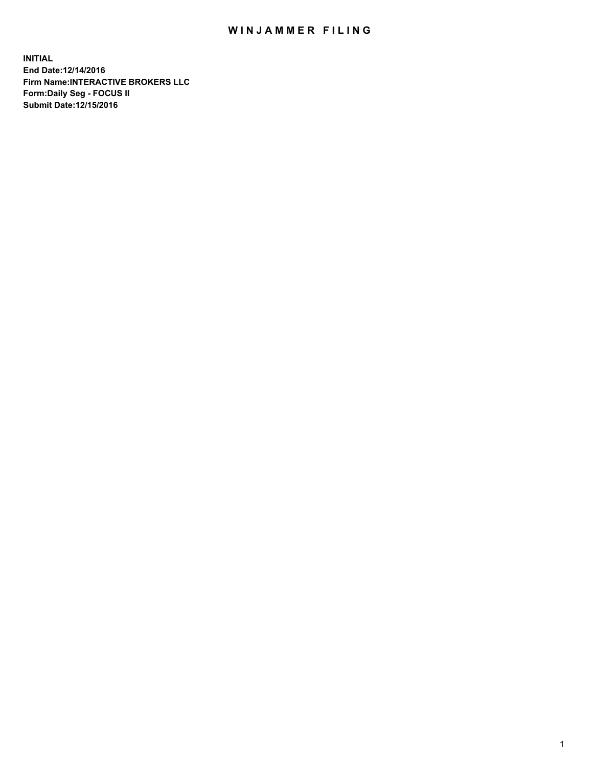## WIN JAMMER FILING

**INITIAL End Date:12/14/2016 Firm Name:INTERACTIVE BROKERS LLC Form:Daily Seg - FOCUS II Submit Date:12/15/2016**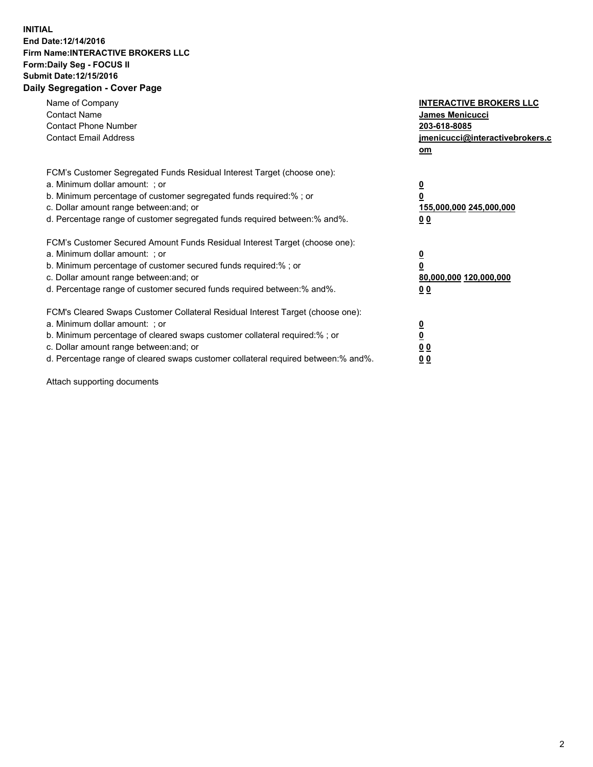## **INITIAL End Date:12/14/2016 Firm Name:INTERACTIVE BROKERS LLC Form:Daily Seg - FOCUS II Submit Date:12/15/2016 Daily Segregation - Cover Page**

| Name of Company<br><b>Contact Name</b><br><b>Contact Phone Number</b><br><b>Contact Email Address</b>                                                                                                                                                                                                                          | <b>INTERACTIVE BROKERS LLC</b><br>James Menicucci<br>203-618-8085<br><u>jmenicucci@interactivebrokers.c</u><br>om |
|--------------------------------------------------------------------------------------------------------------------------------------------------------------------------------------------------------------------------------------------------------------------------------------------------------------------------------|-------------------------------------------------------------------------------------------------------------------|
| FCM's Customer Segregated Funds Residual Interest Target (choose one):<br>a. Minimum dollar amount: ; or<br>b. Minimum percentage of customer segregated funds required:%; or<br>c. Dollar amount range between: and; or<br>d. Percentage range of customer segregated funds required between:% and%.                          | $\overline{\mathbf{0}}$<br>0<br>155,000,000 245,000,000<br>0 <sub>0</sub>                                         |
| FCM's Customer Secured Amount Funds Residual Interest Target (choose one):<br>a. Minimum dollar amount: ; or<br>b. Minimum percentage of customer secured funds required:%; or<br>c. Dollar amount range between: and; or<br>d. Percentage range of customer secured funds required between:% and%.                            | $\overline{\mathbf{0}}$<br>$\overline{\mathbf{0}}$<br>80,000,000 120,000,000<br>00                                |
| FCM's Cleared Swaps Customer Collateral Residual Interest Target (choose one):<br>a. Minimum dollar amount: ; or<br>b. Minimum percentage of cleared swaps customer collateral required:% ; or<br>c. Dollar amount range between: and; or<br>d. Percentage range of cleared swaps customer collateral required between:% and%. | $\overline{\mathbf{0}}$<br>$\overline{\mathbf{0}}$<br>0 <sub>0</sub><br><u>00</u>                                 |

Attach supporting documents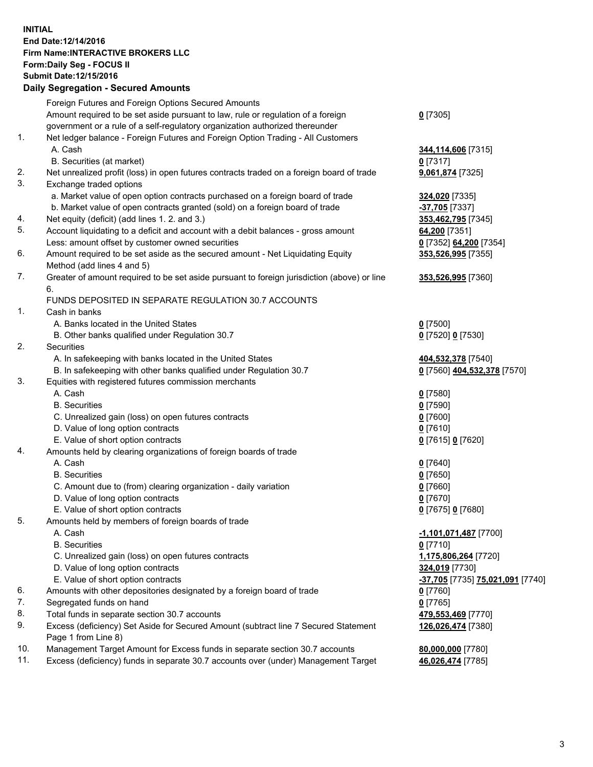## **INITIAL End Date:12/14/2016 Firm Name:INTERACTIVE BROKERS LLC Form:Daily Seg - FOCUS II Submit Date:12/15/2016 Daily Segregation - Secured Amounts**

|     | Daily Ocglegation - Occuled Amounts                                                                        |                                  |
|-----|------------------------------------------------------------------------------------------------------------|----------------------------------|
|     | Foreign Futures and Foreign Options Secured Amounts                                                        |                                  |
|     | Amount required to be set aside pursuant to law, rule or regulation of a foreign                           | $0$ [7305]                       |
|     | government or a rule of a self-regulatory organization authorized thereunder                               |                                  |
| 1.  | Net ledger balance - Foreign Futures and Foreign Option Trading - All Customers                            |                                  |
|     | A. Cash                                                                                                    | 344,114,606 [7315]               |
|     | B. Securities (at market)                                                                                  | $0$ [7317]                       |
| 2.  | Net unrealized profit (loss) in open futures contracts traded on a foreign board of trade                  | 9,061,874 [7325]                 |
| 3.  | Exchange traded options                                                                                    |                                  |
|     | a. Market value of open option contracts purchased on a foreign board of trade                             | 324,020 [7335]                   |
|     | b. Market value of open contracts granted (sold) on a foreign board of trade                               | -37,705 [7337]                   |
| 4.  | Net equity (deficit) (add lines 1.2. and 3.)                                                               | 353,462,795 [7345]               |
| 5.  | Account liquidating to a deficit and account with a debit balances - gross amount                          | 64,200 [7351]                    |
|     | Less: amount offset by customer owned securities                                                           | 0 [7352] 64,200 [7354]           |
| 6.  | Amount required to be set aside as the secured amount - Net Liquidating Equity                             | 353,526,995 [7355]               |
|     | Method (add lines 4 and 5)                                                                                 |                                  |
| 7.  | Greater of amount required to be set aside pursuant to foreign jurisdiction (above) or line                | 353,526,995 [7360]               |
|     | 6.                                                                                                         |                                  |
|     | FUNDS DEPOSITED IN SEPARATE REGULATION 30.7 ACCOUNTS                                                       |                                  |
| 1.  | Cash in banks                                                                                              |                                  |
|     | A. Banks located in the United States                                                                      | $0$ [7500]                       |
|     | B. Other banks qualified under Regulation 30.7                                                             | 0 [7520] 0 [7530]                |
| 2.  | Securities                                                                                                 |                                  |
|     | A. In safekeeping with banks located in the United States                                                  | 404,532,378 [7540]               |
|     | B. In safekeeping with other banks qualified under Regulation 30.7                                         | 0 [7560] 404,532,378 [7570]      |
| 3.  | Equities with registered futures commission merchants                                                      |                                  |
|     | A. Cash                                                                                                    | $0$ [7580]                       |
|     | <b>B.</b> Securities                                                                                       | $0$ [7590]                       |
|     | C. Unrealized gain (loss) on open futures contracts                                                        | $0$ [7600]                       |
|     | D. Value of long option contracts                                                                          | $0$ [7610]                       |
|     | E. Value of short option contracts                                                                         | 0 [7615] 0 [7620]                |
| 4.  | Amounts held by clearing organizations of foreign boards of trade                                          |                                  |
|     | A. Cash                                                                                                    | $0$ [7640]                       |
|     | <b>B.</b> Securities                                                                                       | $0$ [7650]                       |
|     | C. Amount due to (from) clearing organization - daily variation                                            | $0$ [7660]                       |
|     | D. Value of long option contracts                                                                          | $0$ [7670]                       |
|     | E. Value of short option contracts                                                                         | 0 [7675] 0 [7680]                |
| 5.  | Amounts held by members of foreign boards of trade                                                         |                                  |
|     | A. Cash                                                                                                    | <u>-1,101,071,487</u> [7700]     |
|     | <b>B.</b> Securities                                                                                       | $0$ [7710]                       |
|     | C. Unrealized gain (loss) on open futures contracts                                                        | 1,175,806,264 [7720]             |
|     | D. Value of long option contracts                                                                          | 324,019 [7730]                   |
|     | E. Value of short option contracts                                                                         | -37,705 [7735] 75,021,091 [7740] |
| 6.  | Amounts with other depositories designated by a foreign board of trade                                     | 0 [7760]                         |
| 7.  | Segregated funds on hand                                                                                   | $0$ [7765]                       |
| 8.  | Total funds in separate section 30.7 accounts                                                              | 479,553,469 [7770]               |
| 9.  | Excess (deficiency) Set Aside for Secured Amount (subtract line 7 Secured Statement<br>Page 1 from Line 8) | 126,026,474 [7380]               |
| 10. | Management Target Amount for Excess funds in separate section 30.7 accounts                                | 80,000,000 [7780]                |
| 11. | Excess (deficiency) funds in separate 30.7 accounts over (under) Management Target                         | 46,026,474 [7785]                |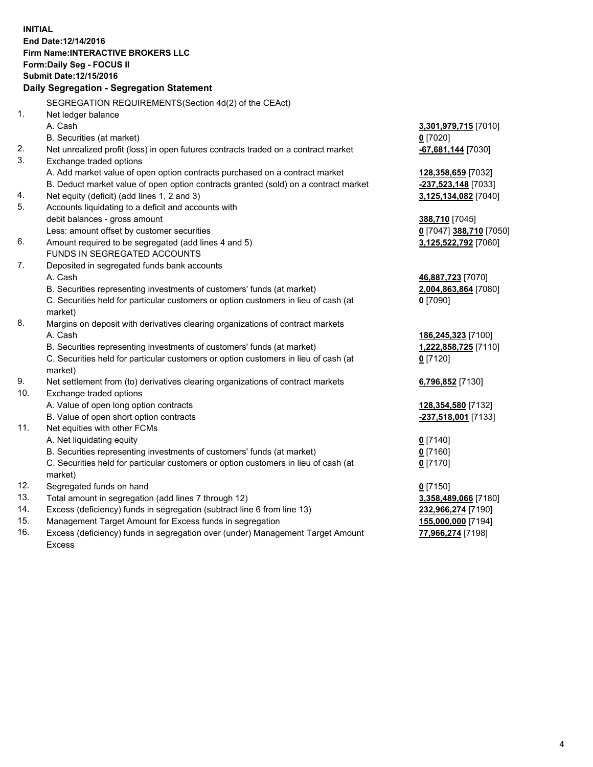**INITIAL End Date:12/14/2016 Firm Name:INTERACTIVE BROKERS LLC Form:Daily Seg - FOCUS II Submit Date:12/15/2016 Daily Segregation - Segregation Statement** SEGREGATION REQUIREMENTS(Section 4d(2) of the CEAct) 1. Net ledger balance A. Cash **3,301,979,715** [7010] B. Securities (at market) **0** [7020] 2. Net unrealized profit (loss) in open futures contracts traded on a contract market **-67,681,144** [7030] 3. Exchange traded options A. Add market value of open option contracts purchased on a contract market **128,358,659** [7032] B. Deduct market value of open option contracts granted (sold) on a contract market **-237,523,148** [7033] 4. Net equity (deficit) (add lines 1, 2 and 3) **3,125,134,082** [7040] 5. Accounts liquidating to a deficit and accounts with debit balances - gross amount **388,710** [7045] Less: amount offset by customer securities **0** [7047] **388,710** [7050] 6. Amount required to be segregated (add lines 4 and 5) **3,125,522,792** [7060] FUNDS IN SEGREGATED ACCOUNTS 7. Deposited in segregated funds bank accounts A. Cash **46,887,723** [7070] B. Securities representing investments of customers' funds (at market) **2,004,863,864** [7080] C. Securities held for particular customers or option customers in lieu of cash (at market) **0** [7090] 8. Margins on deposit with derivatives clearing organizations of contract markets A. Cash **186,245,323** [7100] B. Securities representing investments of customers' funds (at market) **1,222,858,725** [7110] C. Securities held for particular customers or option customers in lieu of cash (at market) **0** [7120] 9. Net settlement from (to) derivatives clearing organizations of contract markets **6,796,852** [7130] 10. Exchange traded options A. Value of open long option contracts **128,354,580** [7132] B. Value of open short option contracts **-237,518,001** [7133] 11. Net equities with other FCMs A. Net liquidating equity **0** [7140] B. Securities representing investments of customers' funds (at market) **0** [7160] C. Securities held for particular customers or option customers in lieu of cash (at market) **0** [7170] 12. Segregated funds on hand **0** [7150] 13. Total amount in segregation (add lines 7 through 12) **3,358,489,066** [7180] 14. Excess (deficiency) funds in segregation (subtract line 6 from line 13) **232,966,274** [7190] 15. Management Target Amount for Excess funds in segregation **155,000,000** [7194]

16. Excess (deficiency) funds in segregation over (under) Management Target Amount Excess

**77,966,274** [7198]